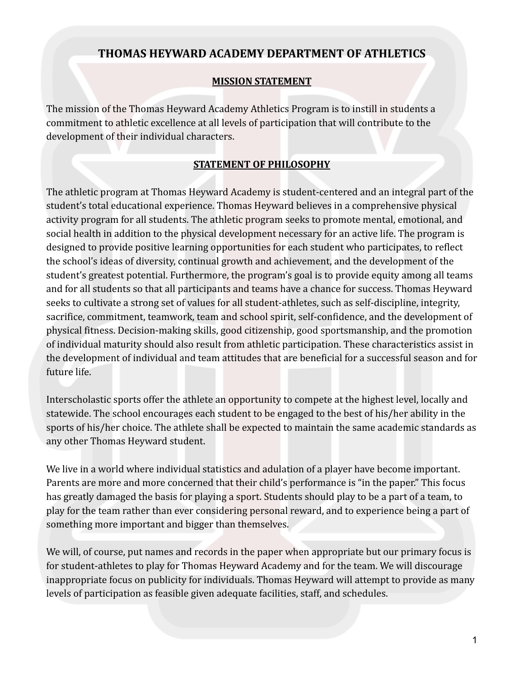## **THOMAS HEYWARD ACADEMY DEPARTMENT OF ATHLETICS**

#### **MISSION STATEMENT**

The mission of the Thomas Heyward Academy Athletics Program is to instill in students a commitment to athletic excellence at all levels of participation that will contribute to the development of their individual characters.

#### **STATEMENT OF PHILOSOPHY**

The athletic program at Thomas Heyward Academy is student-centered and an integral part of the student's total educational experience. Thomas Heyward believes in a comprehensive physical activity program for all students. The athletic program seeks to promote mental, emotional, and social health in addition to the physical development necessary for an active life. The program is designed to provide positive learning opportunities for each student who participates, to reflect the school's ideas of diversity, continual growth and achievement, and the development of the student's greatest potential. Furthermore, the program's goal is to provide equity among all teams and for all students so that all participants and teams have a chance for success. Thomas Heyward seeks to cultivate a strong set of values for all student-athletes, such as self-discipline, integrity, sacrifice, commitment, teamwork, team and school spirit, self-confidence, and the development of physical fitness. Decision-making skills, good citizenship, good sportsmanship, and the promotion of individual maturity should also result from athletic participation. These characteristics assist in the development of individual and team attitudes that are beneficial for a successful season and for future life.

Interscholastic sports offer the athlete an opportunity to compete at the highest level, locally and statewide. The school encourages each student to be engaged to the best of his/her ability in the sports of his/her choice. The athlete shall be expected to maintain the same academic standards as any other Thomas Heyward student.

We live in a world where individual statistics and adulation of a player have become important. Parents are more and more concerned that their child's performance is "in the paper." This focus has greatly damaged the basis for playing a sport. Students should play to be a part of a team, to play for the team rather than ever considering personal reward, and to experience being a part of something more important and bigger than themselves.

We will, of course, put names and records in the paper when appropriate but our primary focus is for student-athletes to play for Thomas Heyward Academy and for the team. We will discourage inappropriate focus on publicity for individuals. Thomas Heyward will attempt to provide as many levels of participation as feasible given adequate facilities, staff, and schedules.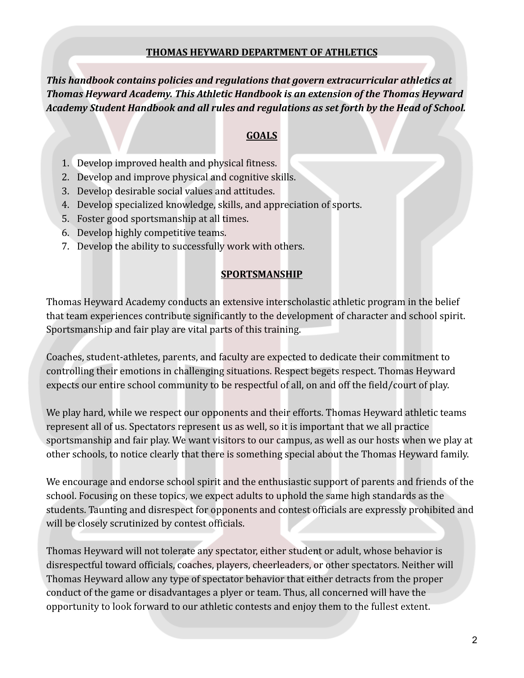#### **THOMAS HEYWARD DEPARTMENT OF ATHLETICS**

*This handbook contains policies and regulations that govern extracurricular athletics at Thomas Heyward Academy. This Athletic Handbook is an extension of the Thomas Heyward Academy Student Handbook and all rules and regulations as set forth by the Head of School.*

### **GOALS**

- 1. Develop improved health and physical fitness.
- 2. Develop and improve physical and cognitive skills.
- 3. Develop desirable social values and attitudes.
- 4. Develop specialized knowledge, skills, and appreciation of sports.
- 5. Foster good sportsmanship at all times.
- 6. Develop highly competitive teams.
- 7. Develop the ability to successfully work with others.

#### **SPORTSMANSHIP**

Thomas Heyward Academy conducts an extensive interscholastic athletic program in the belief that team experiences contribute significantly to the development of character and school spirit. Sportsmanship and fair play are vital parts of this training.

Coaches, student-athletes, parents, and faculty are expected to dedicate their commitment to controlling their emotions in challenging situations. Respect begets respect. Thomas Heyward expects our entire school community to be respectful of all, on and off the field/court of play.

We play hard, while we respect our opponents and their efforts. Thomas Heyward athletic teams represent all of us. Spectators represent us as well, so it is important that we all practice sportsmanship and fair play. We want visitors to our campus, as well as our hosts when we play at other schools, to notice clearly that there is something special about the Thomas Heyward family.

We encourage and endorse school spirit and the enthusiastic support of parents and friends of the school. Focusing on these topics, we expect adults to uphold the same high standards as the students. Taunting and disrespect for opponents and contest officials are expressly prohibited and will be closely scrutinized by contest officials.

Thomas Heyward will not tolerate any spectator, either student or adult, whose behavior is disrespectful toward officials, coaches, players, cheerleaders, or other spectators. Neither will Thomas Heyward allow any type of spectator behavior that either detracts from the proper conduct of the game or disadvantages a plyer or team. Thus, all concerned will have the opportunity to look forward to our athletic contests and enjoy them to the fullest extent.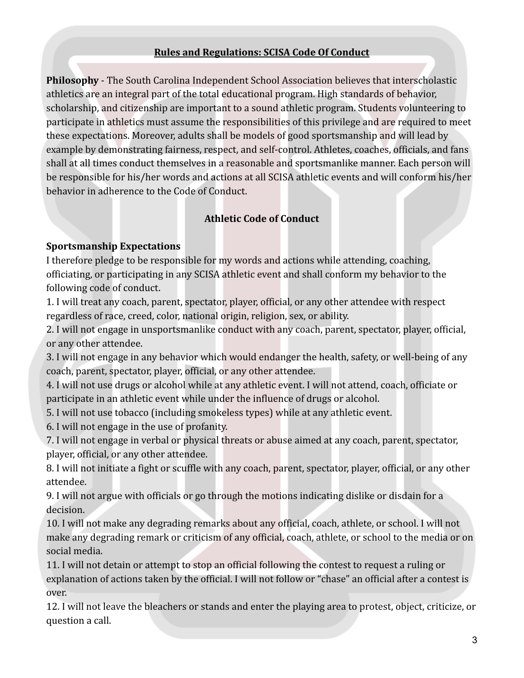#### **Rules and Regulations: SCISA Code Of Conduct**

**Philosophy** - The South Carolina Independent School Association believes that interscholastic athletics are an integral part of the total educational program. High standards of behavior, scholarship, and citizenship are important to a sound athletic program. Students volunteering to participate in athletics must assume the responsibilities of this privilege and are required to meet these expectations. Moreover, adults shall be models of good sportsmanship and will lead by example by demonstrating fairness, respect, and self-control. Athletes, coaches, officials, and fans shall at all times conduct themselves in a reasonable and sportsmanlike manner. Each person will be responsible for his/her words and actions at all SCISA athletic events and will conform his/her behavior in adherence to the Code of Conduct.

## **Athletic Code of Conduct**

#### **Sportsmanship Expectations**

I therefore pledge to be responsible for my words and actions while attending, coaching, officiating, or participating in any SCISA athletic event and shall conform my behavior to the following code of conduct.

1. I will treat any coach, parent, spectator, player, official, or any other attendee with respect regardless of race, creed, color, national origin, religion, sex, or ability.

2. I will not engage in unsportsmanlike conduct with any coach, parent, spectator, player, official, or any other attendee.

3. I will not engage in any behavior which would endanger the health, safety, or well-being of any coach, parent, spectator, player, official, or any other attendee.

4. I will not use drugs or alcohol while at any athletic event. I will not attend, coach, officiate or participate in an athletic event while under the influence of drugs or alcohol.

5. I will not use tobacco (including smokeless types) while at any athletic event.

6. I will not engage in the use of profanity.

7. I will not engage in verbal or physical threats or abuse aimed at any coach, parent, spectator, player, official, or any other attendee.

8. I will not initiate a fight or scuffle with any coach, parent, spectator, player, official, or any other attendee.

9. I will not argue with officials or go through the motions indicating dislike or disdain for a decision.

10. I will not make any degrading remarks about any official, coach, athlete, or school. I will not make any degrading remark or criticism of any official, coach, athlete, or school to the media or on social media.

11. I will not detain or attempt to stop an official following the contest to request a ruling or explanation of actions taken by the official. I will not follow or "chase" an official after a contest is over.

12. I will not leave the bleachers or stands and enter the playing area to protest, object, criticize, or question a call.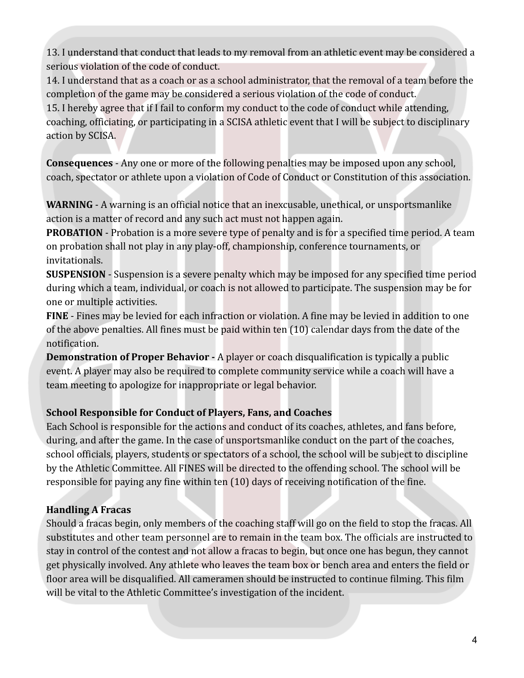13. I understand that conduct that leads to my removal from an athletic event may be considered a serious violation of the code of conduct.

14. I understand that as a coach or as a school administrator, that the removal of a team before the completion of the game may be considered a serious violation of the code of conduct.

15. I hereby agree that if I fail to conform my conduct to the code of conduct while attending, coaching, officiating, or participating in a SCISA athletic event that I will be subject to disciplinary action by SCISA.

**Consequences** - Any one or more of the following penalties may be imposed upon any school, coach, spectator or athlete upon a violation of Code of Conduct or Constitution of this association.

**WARNING** - A warning is an official notice that an inexcusable, unethical, or unsportsmanlike action is a matter of record and any such act must not happen again.

**PROBATION** - Probation is a more severe type of penalty and is for a specified time period. A team on probation shall not play in any play-off, championship, conference tournaments, or invitationals.

**SUSPENSION** - Suspension is a severe penalty which may be imposed for any specified time period during which a team, individual, or coach is not allowed to participate. The suspension may be for one or multiple activities.

**FINE** - Fines may be levied for each infraction or violation. A fine may be levied in addition to one of the above penalties. All fines must be paid within ten (10) calendar days from the date of the notification.

**Demonstration of Proper Behavior -** A player or coach disqualification is typically a public event. A player may also be required to complete community service while a coach will have a team meeting to apologize for inappropriate or legal behavior.

# **School Responsible for Conduct of Players, Fans, and Coaches**

Each School is responsible for the actions and conduct of its coaches, athletes, and fans before, during, and after the game. In the case of unsportsmanlike conduct on the part of the coaches, school officials, players, students or spectators of a school, the school will be subject to discipline by the Athletic Committee. All FINES will be directed to the offending school. The school will be responsible for paying any fine within ten (10) days of receiving notification of the fine.

# **Handling A Fracas**

Should a fracas begin, only members of the coaching staff will go on the field to stop the fracas. All substitutes and other team personnel are to remain in the team box. The officials are instructed to stay in control of the contest and not allow a fracas to begin, but once one has begun, they cannot get physically involved. Any athlete who leaves the team box or bench area and enters the field or floor area will be disqualified. All cameramen should be instructed to continue filming. This film will be vital to the Athletic Committee's investigation of the incident.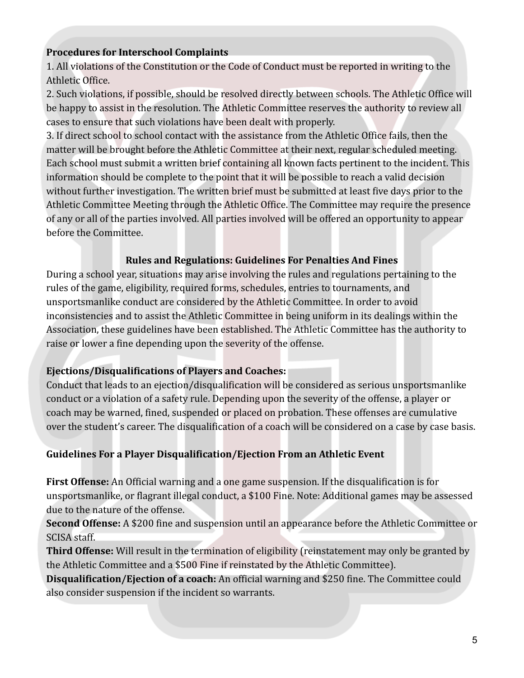#### **Procedures for Interschool Complaints**

1. All violations of the Constitution or the Code of Conduct must be reported in writing to the Athletic Office.

2. Such violations, if possible, should be resolved directly between schools. The Athletic Office will be happy to assist in the resolution. The Athletic Committee reserves the authority to review all cases to ensure that such violations have been dealt with properly.

3. If direct school to school contact with the assistance from the Athletic Office fails, then the matter will be brought before the Athletic Committee at their next, regular scheduled meeting. Each school must submit a written brief containing all known facts pertinent to the incident. This information should be complete to the point that it will be possible to reach a valid decision without further investigation. The written brief must be submitted at least five days prior to the Athletic Committee Meeting through the Athletic Office. The Committee may require the presence of any or all of the parties involved. All parties involved will be offered an opportunity to appear before the Committee.

#### **Rules and Regulations: Guidelines For Penalties And Fines**

During a school year, situations may arise involving the rules and regulations pertaining to the rules of the game, eligibility, required forms, schedules, entries to tournaments, and unsportsmanlike conduct are considered by the Athletic Committee. In order to avoid inconsistencies and to assist the Athletic Committee in being uniform in its dealings within the Association, these guidelines have been established. The Athletic Committee has the authority to raise or lower a fine depending upon the severity of the offense.

### **Ejections/Disqualifications of Players and Coaches:**

Conduct that leads to an ejection/disqualification will be considered as serious unsportsmanlike conduct or a violation of a safety rule. Depending upon the severity of the offense, a player or coach may be warned, fined, suspended or placed on probation. These offenses are cumulative over the student's career. The disqualification of a coach will be considered on a case by case basis.

### **Guidelines For a Player Disqualification/Ejection From an Athletic Event**

**First Offense:** An Official warning and a one game suspension. If the disqualification is for unsportsmanlike, or flagrant illegal conduct, a \$100 Fine. Note: Additional games may be assessed due to the nature of the offense.

**Second Offense:** A \$200 fine and suspension until an appearance before the Athletic Committee or SCISA staff.

**Third Offense:** Will result in the termination of eligibility (reinstatement may only be granted by the Athletic Committee and a \$500 Fine if reinstated by the Athletic Committee).

**Disqualification/Ejection of a coach:** An official warning and \$250 fine. The Committee could also consider suspension if the incident so warrants.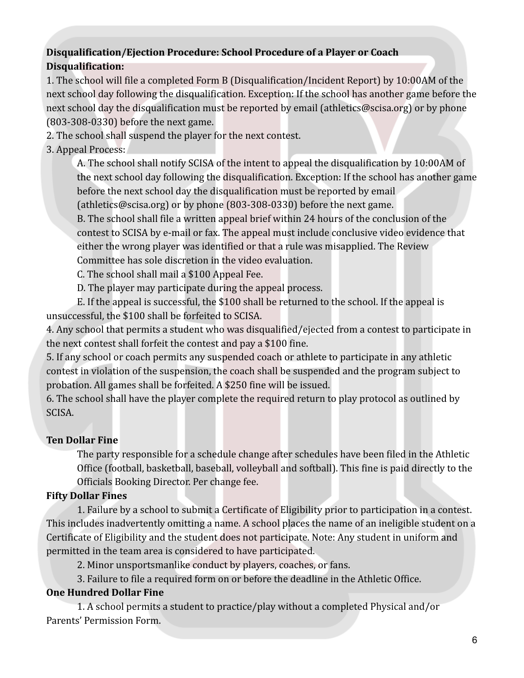## **Disqualification/Ejection Procedure: School Procedure of a Player or Coach Disqualification:**

1. The school will file a completed Form B (Disqualification/Incident Report) by 10:00AM of the next school day following the disqualification. Exception: If the school has another game before the next school day the disqualification must be reported by email (athletics@scisa.org) or by phone (803-308-0330) before the next game.

2. The school shall suspend the player for the next contest.

#### 3. Appeal Process:

A. The school shall notify SCISA of the intent to appeal the disqualification by 10:00AM of the next school day following the disqualification. Exception: If the school has another game before the next school day the disqualification must be reported by email (athletics@scisa.org) or by phone (803-308-0330) before the next game.

B. The school shall file a written appeal brief within 24 hours of the conclusion of the contest to SCISA by e-mail or fax. The appeal must include conclusive video evidence that either the wrong player was identified or that a rule was misapplied. The Review Committee has sole discretion in the video evaluation.

C. The school shall mail a \$100 Appeal Fee.

D. The player may participate during the appeal process.

E. If the appeal is successful, the \$100 shall be returned to the school. If the appeal is unsuccessful, the \$100 shall be forfeited to SCISA.

4. Any school that permits a student who was disqualified/ejected from a contest to participate in the next contest shall forfeit the contest and pay a \$100 fine.

5. If any school or coach permits any suspended coach or athlete to participate in any athletic contest in violation of the suspension, the coach shall be suspended and the program subject to probation. All games shall be forfeited. A \$250 fine will be issued.

6. The school shall have the player complete the required return to play protocol as outlined by SCISA.

### **Ten Dollar Fine**

The party responsible for a schedule change after schedules have been filed in the Athletic Office (football, basketball, baseball, volleyball and softball). This fine is paid directly to the Officials Booking Director. Per change fee.

# **Fifty Dollar Fines**

1. Failure by a school to submit a Certificate of Eligibility prior to participation in a contest. This includes inadvertently omitting a name. A school places the name of an ineligible student on a Certificate of Eligibility and the student does not participate. Note: Any student in uniform and permitted in the team area is considered to have participated.

2. Minor unsportsmanlike conduct by players, coaches, or fans.

3. Failure to file a required form on or before the deadline in the Athletic Office.

### **One Hundred Dollar Fine**

1. A school permits a student to practice/play without a completed Physical and/or Parents' Permission Form.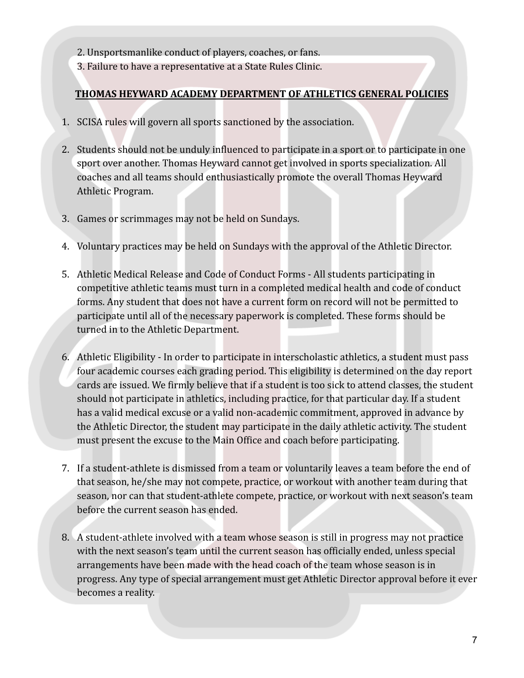- 2. Unsportsmanlike conduct of players, coaches, or fans.
- 3. Failure to have a representative at a State Rules Clinic.

## **THOMAS HEYWARD ACADEMY DEPARTMENT OF ATHLETICS GENERAL POLICIES**

- 1. SCISA rules will govern all sports sanctioned by the association.
- 2. Students should not be unduly influenced to participate in a sport or to participate in one sport over another. Thomas Heyward cannot get involved in sports specialization. All coaches and all teams should enthusiastically promote the overall Thomas Heyward Athletic Program.
- 3. Games or scrimmages may not be held on Sundays.
- 4. Voluntary practices may be held on Sundays with the approval of the Athletic Director.
- 5. Athletic Medical Release and Code of Conduct Forms All students participating in competitive athletic teams must turn in a completed medical health and code of conduct forms. Any student that does not have a current form on record will not be permitted to participate until all of the necessary paperwork is completed. These forms should be turned in to the Athletic Department.
- 6. Athletic Eligibility In order to participate in interscholastic athletics, a student must pass four academic courses each grading period. This eligibility is determined on the day report cards are issued. We firmly believe that if a student is too sick to attend classes, the student should not participate in athletics, including practice, for that particular day. If a student has a valid medical excuse or a valid non-academic commitment, approved in advance by the Athletic Director, the student may participate in the daily athletic activity. The student must present the excuse to the Main Office and coach before participating.
- 7. If a student-athlete is dismissed from a team or voluntarily leaves a team before the end of that season, he/she may not compete, practice, or workout with another team during that season, nor can that student-athlete compete, practice, or workout with next season's team before the current season has ended.
- 8. A student-athlete involved with a team whose season is still in progress may not practice with the next season's team until the current season has officially ended, unless special arrangements have been made with the head coach of the team whose season is in progress. Any type of special arrangement must get Athletic Director approval before it ever becomes a reality.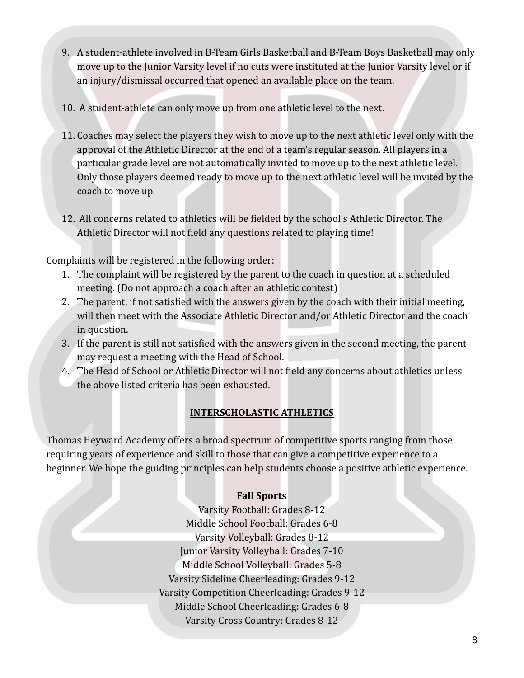- 9. A student-athlete involved in B-Team Girls Basketball and B-Team Boys Basketball may only move up to the Junior Varsity level if no cuts were instituted at the Junior Varsity level or if an injury/dismissal occurred that opened an available place on the team.
- 10. A student-athlete can only move up from one athletic level to the next.
- 11. Coaches may select the players they wish to move up to the next athletic level only with the approval of the Athletic Director at the end of a team's regular season. All players in a particular grade level are not automatically invited to move up to the next athletic level. Only those players deemed ready to move up to the next athletic level will be invited by the coach to move up.
- 12. All concerns related to athletics will be fielded by the school's Athletic Director. The Athletic Director will not field any questions related to playing time!

Complaints will be registered in the following order:

- 1. The complaint will be registered by the parent to the coach in question at a scheduled meeting. (Do not approach a coach after an athletic contest)
- 2. The parent, if not satisfied with the answers given by the coach with their initial meeting, will then meet with the Associate Athletic Director and/or Athletic Director and the coach in question.
- 3. If the parent is still not satisfied with the answers given in the second meeting, the parent may request a meeting with the Head of School.
- 4. The Head of School or Athletic Director will not field any concerns about athletics unless the above listed criteria has been exhausted.

# **INTERSCHOLASTIC ATHLETICS**

Thomas Heyward Academy offers a broad spectrum of competitive sports ranging from those requiring years of experience and skill to those that can give a competitive experience to a beginner. We hope the guiding principles can help students choose a positive athletic experience.

# **Fall Sports**

Varsity Football: Grades 8-12 Middle School Football: Grades 6-8 Varsity Volleyball: Grades 8-12 Junior Varsity Volleyball: Grades 7-10 Middle School Volleyball: Grades 5-8 Varsity Sideline Cheerleading: Grades 9-12 Varsity Competition Cheerleading: Grades 9-12 Middle School Cheerleading: Grades 6-8 Varsity Cross Country: Grades 8-12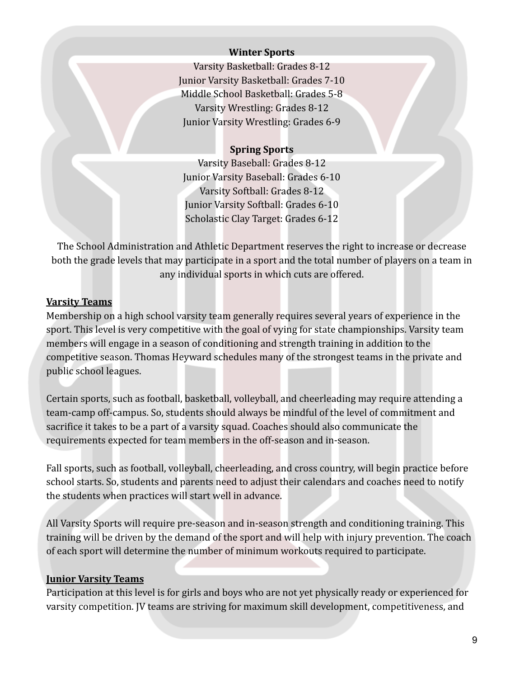#### **Winter Sports**

Varsity Basketball: Grades 8-12 Junior Varsity Basketball: Grades 7-10 Middle School Basketball: Grades 5-8 Varsity Wrestling: Grades 8-12 Junior Varsity Wrestling: Grades 6-9

### **Spring Sports**

Varsity Baseball: Grades 8-12 Junior Varsity Baseball: Grades 6-10 Varsity Softball: Grades 8-12 Junior Varsity Softball: Grades 6-10 Scholastic Clay Target: Grades 6-12

The School Administration and Athletic Department reserves the right to increase or decrease both the grade levels that may participate in a sport and the total number of players on a team in any individual sports in which cuts are offered.

### **Varsity Teams**

Membership on a high school varsity team generally requires several years of experience in the sport. This level is very competitive with the goal of vying for state championships. Varsity team members will engage in a season of conditioning and strength training in addition to the competitive season. Thomas Heyward schedules many of the strongest teams in the private and public school leagues.

Certain sports, such as football, basketball, volleyball, and cheerleading may require attending a team-camp off-campus. So, students should always be mindful of the level of commitment and sacrifice it takes to be a part of a varsity squad. Coaches should also communicate the requirements expected for team members in the off-season and in-season.

Fall sports, such as football, volleyball, cheerleading, and cross country, will begin practice before school starts. So, students and parents need to adjust their calendars and coaches need to notify the students when practices will start well in advance.

All Varsity Sports will require pre-season and in-season strength and conditioning training. This training will be driven by the demand of the sport and will help with injury prevention. The coach of each sport will determine the number of minimum workouts required to participate.

### **Junior Varsity Teams**

Participation at this level is for girls and boys who are not yet physically ready or experienced for varsity competition. JV teams are striving for maximum skill development, competitiveness, and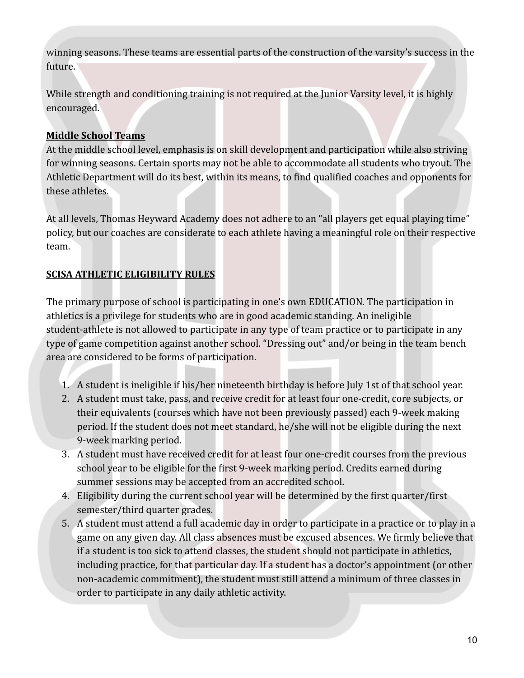winning seasons. These teams are essential parts of the construction of the varsity's success in the future.

While strength and conditioning training is not required at the Junior Varsity level, it is highly encouraged.

### **Middle School Teams**

At the middle school level, emphasis is on skill development and participation while also striving for winning seasons. Certain sports may not be able to accommodate all students who tryout. The Athletic Department will do its best, within its means, to find qualified coaches and opponents for these athletes.

At all levels, Thomas Heyward Academy does not adhere to an "all players get equal playing time" policy, but our coaches are considerate to each athlete having a meaningful role on their respective team.

# **SCISA ATHLETIC ELIGIBILITY RULES**

The primary purpose of school is participating in one's own EDUCATION. The participation in athletics is a privilege for students who are in good academic standing. An ineligible student-athlete is not allowed to participate in any type of team practice or to participate in any type of game competition against another school. "Dressing out" and/or being in the team bench area are considered to be forms of participation.

- 1. A student is ineligible if his/her nineteenth birthday is before July 1st of that school year.
- 2. A student must take, pass, and receive credit for at least four one-credit, core subjects, or their equivalents (courses which have not been previously passed) each 9-week making period. If the student does not meet standard, he/she will not be eligible during the next 9-week marking period.
- 3. A student must have received credit for at least four one-credit courses from the previous school year to be eligible for the first 9-week marking period. Credits earned during summer sessions may be accepted from an accredited school.
- 4. Eligibility during the current school year will be determined by the first quarter/first semester/third quarter grades.
- 5. A student must attend a full academic day in order to participate in a practice or to play in a game on any given day. All class absences must be excused absences. We firmly believe that if a student is too sick to attend classes, the student should not participate in athletics, including practice, for that particular day. If a student has a doctor's appointment (or other non-academic commitment), the student must still attend a minimum of three classes in order to participate in any daily athletic activity.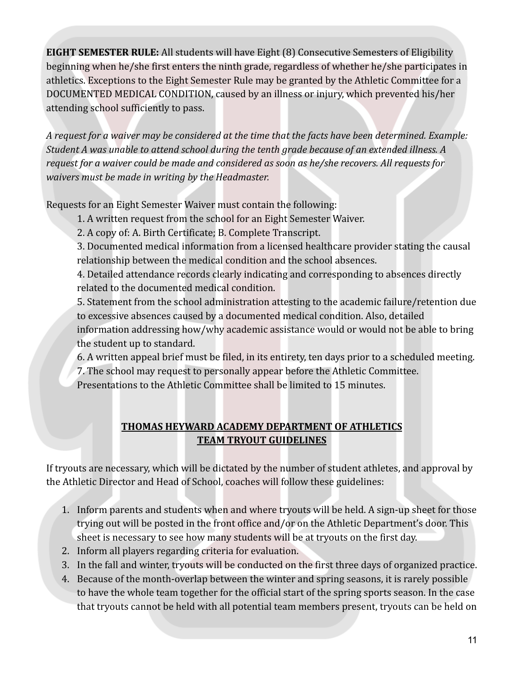**EIGHT SEMESTER RULE:** All students will have Eight (8) Consecutive Semesters of Eligibility beginning when he/she first enters the ninth grade, regardless of whether he/she participates in athletics. Exceptions to the Eight Semester Rule may be granted by the Athletic Committee for a DOCUMENTED MEDICAL CONDITION, caused by an illness or injury, which prevented his/her attending school sufficiently to pass.

*A request for a waiver may be considered at the time that the facts have been determined. Example: Student A was unable to attend school during the tenth grade because of an extended illness. A request for a waiver could be made and considered as soon as he/she recovers. All requests for waivers must be made in writing by the Headmaster.*

Requests for an Eight Semester Waiver must contain the following:

- 1. A written request from the school for an Eight Semester Waiver.
- 2. A copy of: A. Birth Certificate; B. Complete Transcript.

3. Documented medical information from a licensed healthcare provider stating the causal relationship between the medical condition and the school absences.

4. Detailed attendance records clearly indicating and corresponding to absences directly related to the documented medical condition.

5. Statement from the school administration attesting to the academic failure/retention due to excessive absences caused by a documented medical condition. Also, detailed information addressing how/why academic assistance would or would not be able to bring the student up to standard.

6. A written appeal brief must be filed, in its entirety, ten days prior to a scheduled meeting. 7. The school may request to personally appear before the Athletic Committee.

Presentations to the Athletic Committee shall be limited to 15 minutes.

# **THOMAS HEYWARD ACADEMY DEPARTMENT OF ATHLETICS TEAM TRYOUT GUIDELINES**

If tryouts are necessary, which will be dictated by the number of student athletes, and approval by the Athletic Director and Head of School, coaches will follow these guidelines:

- 1. Inform parents and students when and where tryouts will be held. A sign-up sheet for those trying out will be posted in the front office and/or on the Athletic Department's door. This sheet is necessary to see how many students will be at tryouts on the first day.
- 2. Inform all players regarding criteria for evaluation.
- 3. In the fall and winter, tryouts will be conducted on the first three days of organized practice.
- 4. Because of the month-overlap between the winter and spring seasons, it is rarely possible to have the whole team together for the official start of the spring sports season. In the case that tryouts cannot be held with all potential team members present, tryouts can be held on